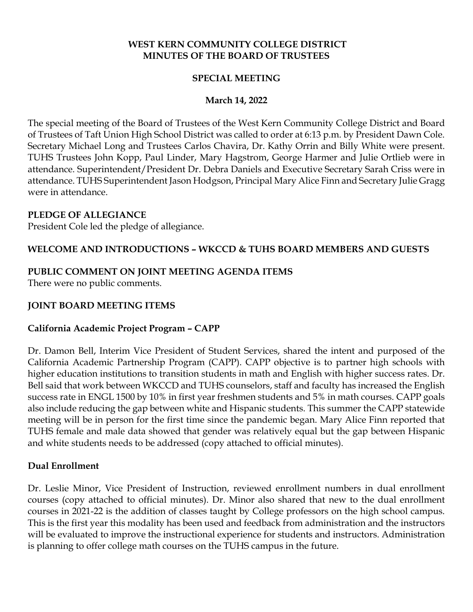## **WEST KERN COMMUNITY COLLEGE DISTRICT MINUTES OF THE BOARD OF TRUSTEES**

## **SPECIAL MEETING**

## **March 14, 2022**

The special meeting of the Board of Trustees of the West Kern Community College District and Board of Trustees of Taft Union High School District was called to order at 6:13 p.m. by President Dawn Cole. Secretary Michael Long and Trustees Carlos Chavira, Dr. Kathy Orrin and Billy White were present. TUHS Trustees John Kopp, Paul Linder, Mary Hagstrom, George Harmer and Julie Ortlieb were in attendance. Superintendent/President Dr. Debra Daniels and Executive Secretary Sarah Criss were in attendance. TUHS Superintendent Jason Hodgson, Principal Mary Alice Finn and Secretary Julie Gragg were in attendance.

### **PLEDGE OF ALLEGIANCE**

President Cole led the pledge of allegiance.

# **WELCOME AND INTRODUCTIONS – WKCCD & TUHS BOARD MEMBERS AND GUESTS**

# **PUBLIC COMMENT ON JOINT MEETING AGENDA ITEMS**

There were no public comments.

## **JOINT BOARD MEETING ITEMS**

## **California Academic Project Program – CAPP**

Dr. Damon Bell, Interim Vice President of Student Services, shared the intent and purposed of the California Academic Partnership Program (CAPP). CAPP objective is to partner high schools with higher education institutions to transition students in math and English with higher success rates. Dr. Bell said that work between WKCCD and TUHS counselors, staff and faculty has increased the English success rate in ENGL 1500 by 10% in first year freshmen students and 5% in math courses. CAPP goals also include reducing the gap between white and Hispanic students. This summer the CAPP statewide meeting will be in person for the first time since the pandemic began. Mary Alice Finn reported that TUHS female and male data showed that gender was relatively equal but the gap between Hispanic and white students needs to be addressed (copy attached to official minutes).

## **Dual Enrollment**

Dr. Leslie Minor, Vice President of Instruction, reviewed enrollment numbers in dual enrollment courses (copy attached to official minutes). Dr. Minor also shared that new to the dual enrollment courses in 2021-22 is the addition of classes taught by College professors on the high school campus. This is the first year this modality has been used and feedback from administration and the instructors will be evaluated to improve the instructional experience for students and instructors. Administration is planning to offer college math courses on the TUHS campus in the future.